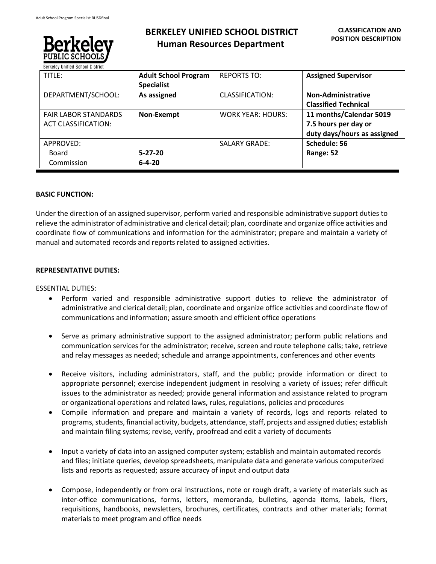

# **BERKELEY UNIFIED SCHOOL DISTRICT Human Resources Department**

| TITLE:                                                    | <b>Adult School Program</b><br><b>Specialist</b> | <b>REPORTS TO:</b>       | <b>Assigned Supervisor</b>                                                     |
|-----------------------------------------------------------|--------------------------------------------------|--------------------------|--------------------------------------------------------------------------------|
| DEPARTMENT/SCHOOL:                                        | As assigned                                      | <b>CLASSIFICATION:</b>   | <b>Non-Administrative</b><br><b>Classified Technical</b>                       |
| <b>FAIR LABOR STANDARDS</b><br><b>ACT CLASSIFICATION:</b> | Non-Exempt                                       | <b>WORK YEAR: HOURS:</b> | 11 months/Calendar 5019<br>7.5 hours per day or<br>duty days/hours as assigned |
| APPROVED:<br><b>Board</b><br>Commission                   | $5 - 27 - 20$<br>$6 - 4 - 20$                    | <b>SALARY GRADE:</b>     | Schedule: 56<br>Range: 52                                                      |

# **BASIC FUNCTION:**

Under the direction of an assigned supervisor, perform varied and responsible administrative support duties to relieve the administrator of administrative and clerical detail; plan, coordinate and organize office activities and coordinate flow of communications and information for the administrator; prepare and maintain a variety of manual and automated records and reports related to assigned activities.

# **REPRESENTATIVE DUTIES:**

ESSENTIAL DUTIES:

- Perform varied and responsible administrative support duties to relieve the administrator of administrative and clerical detail; plan, coordinate and organize office activities and coordinate flow of communications and information; assure smooth and efficient office operations
- Serve as primary administrative support to the assigned administrator; perform public relations and communication services for the administrator; receive, screen and route telephone calls; take, retrieve and relay messages as needed; schedule and arrange appointments, conferences and other events
- Receive visitors, including administrators, staff, and the public; provide information or direct to appropriate personnel; exercise independent judgment in resolving a variety of issues; refer difficult issues to the administrator as needed; provide general information and assistance related to program or organizational operations and related laws, rules, regulations, policies and procedures
- Compile information and prepare and maintain a variety of records, logs and reports related to programs, students, financial activity, budgets, attendance, staff, projects and assigned duties; establish and maintain filing systems; revise, verify, proofread and edit a variety of documents
- Input a variety of data into an assigned computer system; establish and maintain automated records and files; initiate queries, develop spreadsheets, manipulate data and generate various computerized lists and reports as requested; assure accuracy of input and output data
- Compose, independently or from oral instructions, note or rough draft, a variety of materials such as inter-office communications, forms, letters, memoranda, bulletins, agenda items, labels, fliers, requisitions, handbooks, newsletters, brochures, certificates, contracts and other materials; format materials to meet program and office needs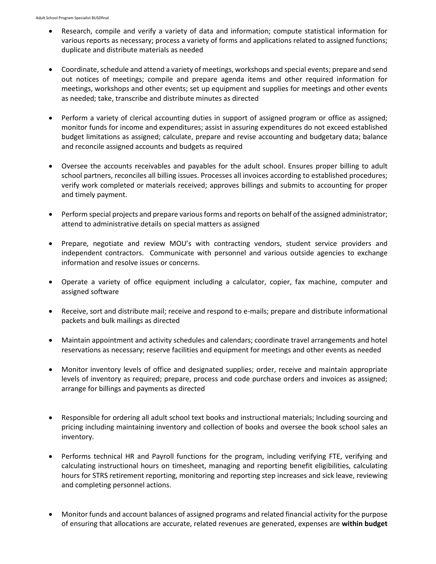- Research, compile and verify a variety of data and information; compute statistical information for various reports as necessary; process a variety of forms and applications related to assigned functions; duplicate and distribute materials as needed
- Coordinate, schedule and attend a variety of meetings, workshops and special events; prepare and send out notices of meetings; compile and prepare agenda items and other required information for meetings, workshops and other events; set up equipment and supplies for meetings and other events as needed; take, transcribe and distribute minutes as directed
- Perform a variety of clerical accounting duties in support of assigned program or office as assigned; monitor funds for income and expenditures; assist in assuring expenditures do not exceed established budget limitations as assigned; calculate, prepare and revise accounting and budgetary data; balance and reconcile assigned accounts and budgets as required
- Oversee the accounts receivables and payables for the adult school. Ensures proper billing to adult school partners, reconciles all billing issues. Processes all invoices according to established procedures; verify work completed or materials received; approves billings and submits to accounting for proper and timely payment.
- Perform special projects and prepare various forms and reports on behalf of the assigned administrator; attend to administrative details on special matters as assigned
- Prepare, negotiate and review MOU's with contracting vendors, student service providers and independent contractors. Communicate with personnel and various outside agencies to exchange information and resolve issues or concerns.
- Operate a variety of office equipment including a calculator, copier, fax machine, computer and assigned software
- Receive, sort and distribute mail; receive and respond to e-mails; prepare and distribute informational packets and bulk mailings as directed
- Maintain appointment and activity schedules and calendars; coordinate travel arrangements and hotel reservations as necessary; reserve facilities and equipment for meetings and other events as needed
- Monitor inventory levels of office and designated supplies; order, receive and maintain appropriate levels of inventory as required; prepare, process and code purchase orders and invoices as assigned; arrange for billings and payments as directed
- Responsible for ordering all adult school text books and instructional materials; Including sourcing and pricing including maintaining inventory and collection of books and oversee the book school sales an inventory.
- Performs technical HR and Payroll functions for the program, including verifying FTE, verifying and calculating instructional hours on timesheet, managing and reporting benefit eligibilities, calculating hours for STRS retirement reporting, monitoring and reporting step increases and sick leave, reviewing and completing personnel actions.
- Monitor funds and account balances of assigned programs and related financial activity for the purpose of ensuring that allocations are accurate, related revenues are generated, expenses are **within budget**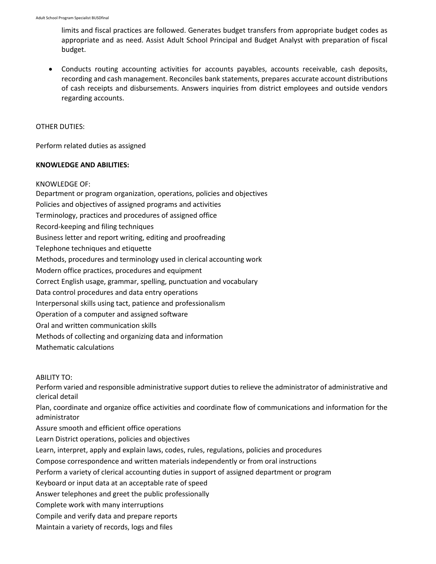limits and fiscal practices are followed. Generates budget transfers from appropriate budget codes as appropriate and as need. Assist Adult School Principal and Budget Analyst with preparation of fiscal budget.

• Conducts routing accounting activities for accounts payables, accounts receivable, cash deposits, recording and cash management. Reconciles bank statements, prepares accurate account distributions of cash receipts and disbursements. Answers inquiries from district employees and outside vendors regarding accounts.

#### OTHER DUTIES:

Perform related duties as assigned

## **KNOWLEDGE AND ABILITIES:**

KNOWLEDGE OF:

Department or program organization, operations, policies and objectives Policies and objectives of assigned programs and activities Terminology, practices and procedures of assigned office Record-keeping and filing techniques Business letter and report writing, editing and proofreading Telephone techniques and etiquette Methods, procedures and terminology used in clerical accounting work Modern office practices, procedures and equipment Correct English usage, grammar, spelling, punctuation and vocabulary Data control procedures and data entry operations Interpersonal skills using tact, patience and professionalism Operation of a computer and assigned software Oral and written communication skills Methods of collecting and organizing data and information Mathematic calculations

ABILITY TO:

Perform varied and responsible administrative support duties to relieve the administrator of administrative and clerical detail

Plan, coordinate and organize office activities and coordinate flow of communications and information for the administrator

Assure smooth and efficient office operations

Learn District operations, policies and objectives

Learn, interpret, apply and explain laws, codes, rules, regulations, policies and procedures

Compose correspondence and written materials independently or from oral instructions

Perform a variety of clerical accounting duties in support of assigned department or program

Keyboard or input data at an acceptable rate of speed

Answer telephones and greet the public professionally

Complete work with many interruptions

Compile and verify data and prepare reports

Maintain a variety of records, logs and files